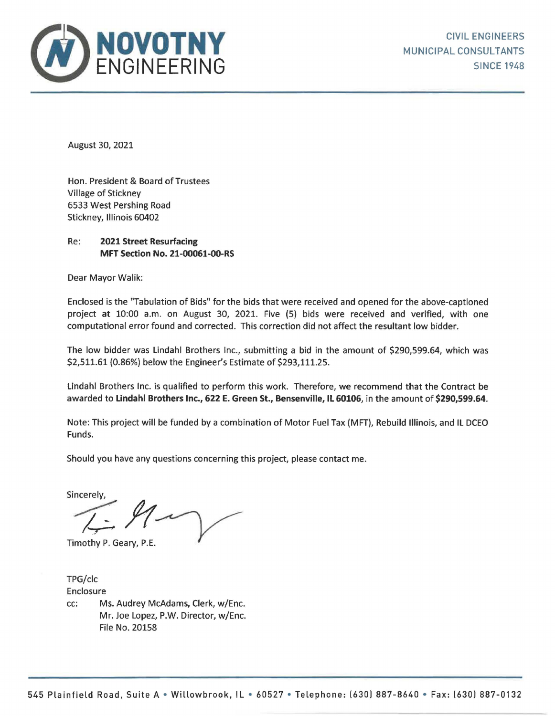

August 30, 2021

Hon. President & Board of Trustees Village of Stickney 6533 West Pershing Road Stickney, Illinois 60402

## Re: **2021 Street Resurfacing MFT Section No. 21-00061-00-RS**

Dear Mayor Walik:

Enclosed is the "Tabulation of Bids" for the bids that were received and opened for the above-captioned project at 10:00 a.m. on August 30, 2021. Five (5} bids were received and verified, with one computational error found and corrected. This correction did not affect the resultant low bidder.

The low bidder was Lindahl Brothers Inc., submitting a bid in the amount of \$290,599.64, which was \$2,511.61 (0.86%) below the Engineer's Estimate of \$293,111.25.

Lindahl Brothers Inc. is qualified to perform this work. Therefore, we recommend that the Contract be awarded to **Lindahl Brothers Inc., 622 E. Green St., Bensenville, IL 60106,** in the amount of **\$290,599.64.** 

Note: This project will be funded by a combination of Motor Fuel Tax (MFT), Rebuild Illinois, and IL DCEO Funds.

Should you have any questions concerning this project, please contact me.

 $Sineerely,$ 

Timothy P. Geary, P.E.

TPG/clc Enclosure cc: Ms. Audrey McAdams, Clerk, w/Enc. Mr. Joe Lopez, P.W. Director, w/Enc. File No. 20158